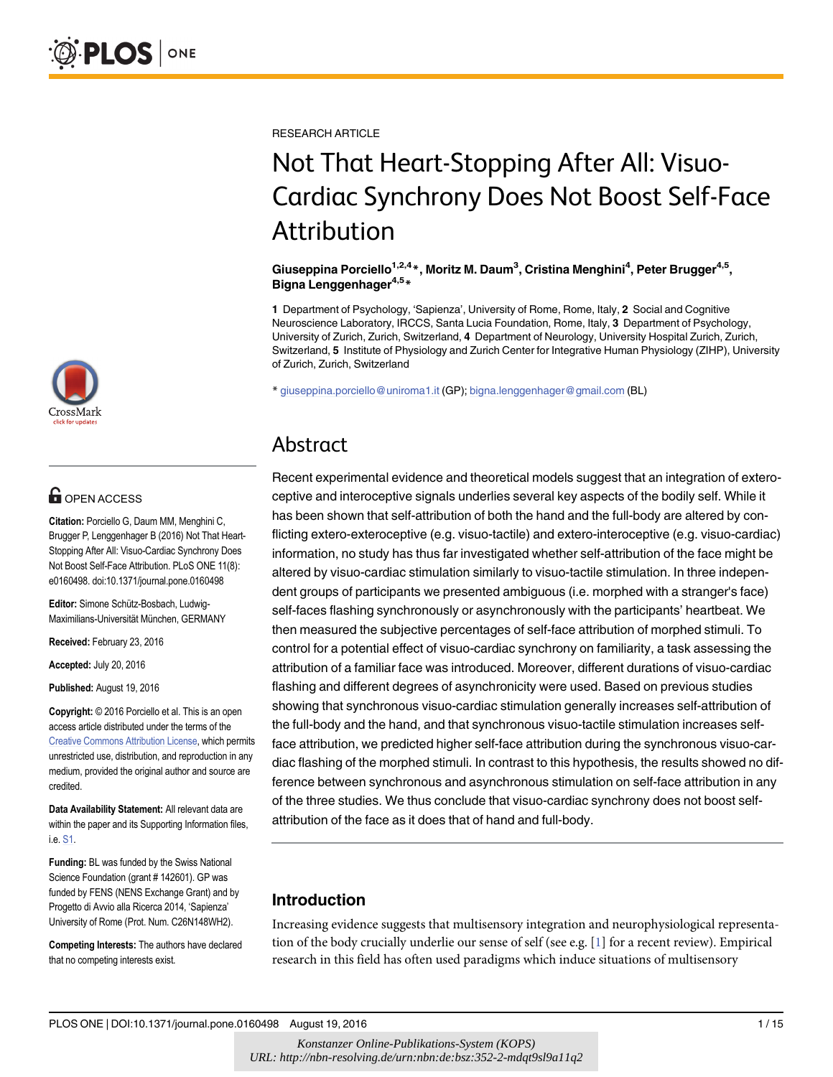

## $\mathbf{G}$  open access

Citation: Porciello G, Daum MM, Menghini C, Brugger P, Lenggenhager B (2016) Not That Heart-Stopping After All: Visuo-Cardiac Synchrony Does Not Boost Self-Face Attribution. PLoS ONE 11(8): e0160498. doi:10.1371/journal.pone.0160498

Editor: Simone Schütz-Bosbach, Ludwig-Maximilians-Universität München, GERMANY

Received: February 23, 2016

Accepted: July 20, 2016

Published: August 19, 2016

Copyright: © 2016 Porciello et al. This is an open access article distributed under the terms of the [Creative Commons Attribution License,](http://creativecommons.org/licenses/by/4.0/) which permits unrestricted use, distribution, and reproduction in any medium, provided the original author and source are credited.

Data Availability Statement: All relevant data are within the paper and its Supporting Information files, i.e. [S1](#page-12-0).

Funding: BL was funded by the Swiss National Science Foundation (grant # 142601). GP was funded by FENS (NENS Exchange Grant) and by Progetto di Avvio alla Ricerca 2014, 'Sapienza' University of Rome (Prot. Num. C26N148WH2).

Competing Interests: The authors have declared that no competing interests exist.

<span id="page-0-0"></span>RESEARCH ARTICLE

# Not That Heart-Stopping After All: Visuo-Cardiac Synchrony Does Not Boost Self-Face Attribution

Giuseppina Porciello<sup>1,2,4</sup>\*, Moritz M. Daum<sup>3</sup>, Cristina Menghini<sup>4</sup>, Peter Brugger<sup>4,5</sup>, Bigna Lenggenhager<sup>4,5\*</sup>

1 Department of Psychology, 'Sapienza', University of Rome, Rome, Italy, 2 Social and Cognitive Neuroscience Laboratory, IRCCS, Santa Lucia Foundation, Rome, Italy, 3 Department of Psychology, University of Zurich, Zurich, Switzerland, 4 Department of Neurology, University Hospital Zurich, Zurich, Switzerland, 5 Institute of Physiology and Zurich Center for Integrative Human Physiology (ZIHP), University of Zurich, Zurich, Switzerland

\* giuseppina.porciello@uniroma1.it (GP); bigna.lenggenhager@gmail.com (BL)

## Abstract

Recent experimental evidence and theoretical models suggest that an integration of exteroceptive and interoceptive signals underlies several key aspects of the bodily self. While it has been shown that self-attribution of both the hand and the full-body are altered by conflicting extero-exteroceptive (e.g. visuo-tactile) and extero-interoceptive (e.g. visuo-cardiac) information, no study has thus far investigated whether self-attribution of the face might be altered by visuo-cardiac stimulation similarly to visuo-tactile stimulation. In three independent groups of participants we presented ambiguous (i.e. morphed with a stranger's face) self-faces flashing synchronously or asynchronously with the participants' heartbeat. We then measured the subjective percentages of self-face attribution of morphed stimuli. To control for a potential effect of visuo-cardiac synchrony on familiarity, a task assessing the attribution of a familiar face was introduced. Moreover, different durations of visuo-cardiac flashing and different degrees of asynchronicity were used. Based on previous studies showing that synchronous visuo-cardiac stimulation generally increases self-attribution of the full-body and the hand, and that synchronous visuo-tactile stimulation increases selfface attribution, we predicted higher self-face attribution during the synchronous visuo-cardiac flashing of the morphed stimuli. In contrast to this hypothesis, the results showed no difference between synchronous and asynchronous stimulation on self-face attribution in any of the three studies. We thus conclude that visuo-cardiac synchrony does not boost selfattribution of the face as it does that of hand and full-body.

## Introduction

Increasing evidence suggests that multisensory integration and neurophysiological representa-tion of the body crucially underlie our sense of self (see e.g. [[1](#page-12-0)] for a recent review). Empirical research in this field has often used paradigms which induce situations of multisensory

PLOS ONE | DOI:10.1371/journal.pone.0160498 August 19, 2016 1 / 15

*Konstanzer Online-Publikations-System (KOPS) URL: http://nbn-resolving.de/urn:nbn:de:bsz:352-2-mdqt9sl9a11q2*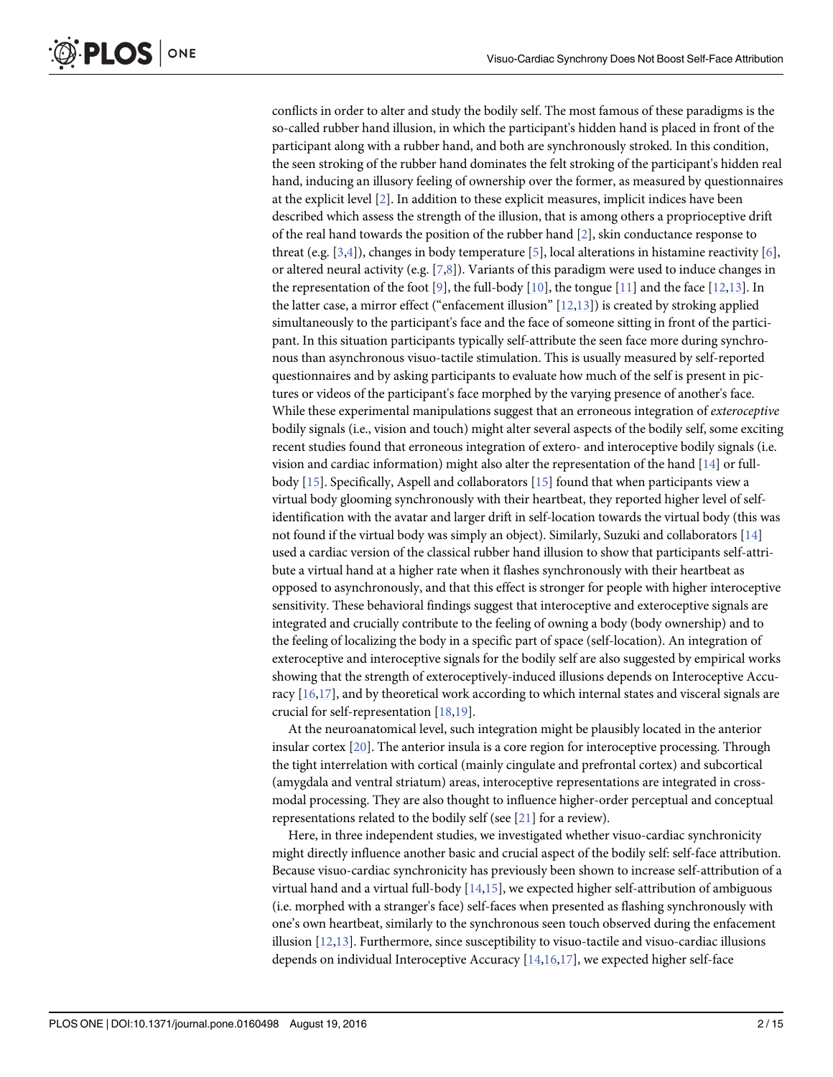<span id="page-1-0"></span>conflicts in order to alter and study the bodily self. The most famous of these paradigms is the so-called rubber hand illusion, in which the participant's hidden hand is placed in front of the participant along with a rubber hand, and both are synchronously stroked. In this condition, the seen stroking of the rubber hand dominates the felt stroking of the participant's hidden real hand, inducing an illusory feeling of ownership over the former, as measured by questionnaires at the explicit level [\[2\]](#page-12-0). In addition to these explicit measures, implicit indices have been described which assess the strength of the illusion, that is among others a proprioceptive drift of the real hand towards the position of the rubber hand [\[2](#page-12-0)], skin conductance response to threat (e.g. [[3,4\]](#page-12-0)), changes in body temperature [[5](#page-12-0)], local alterations in histamine reactivity [\[6](#page-12-0)], or altered neural activity (e.g. [\[7,8\]](#page-12-0)). Variants of this paradigm were used to induce changes in the representation of the foot [[9\]](#page-12-0), the full-body [\[10\]](#page-12-0), the tongue [[11](#page-12-0)] and the face [[12,13](#page-13-0)]. In the latter case, a mirror effect ("enfacement illusion"  $[12,13]$ ) is created by stroking applied simultaneously to the participant's face and the face of someone sitting in front of the participant. In this situation participants typically self-attribute the seen face more during synchronous than asynchronous visuo-tactile stimulation. This is usually measured by self-reported questionnaires and by asking participants to evaluate how much of the self is present in pictures or videos of the participant's face morphed by the varying presence of another's face. While these experimental manipulations suggest that an erroneous integration of exteroceptive bodily signals (i.e., vision and touch) might alter several aspects of the bodily self, some exciting recent studies found that erroneous integration of extero- and interoceptive bodily signals (i.e. vision and cardiac information) might also alter the representation of the hand  $[14]$  $[14]$  $[14]$  or fullbody [\[15](#page-13-0)]. Specifically, Aspell and collaborators [[15](#page-13-0)] found that when participants view a virtual body glooming synchronously with their heartbeat, they reported higher level of selfidentification with the avatar and larger drift in self-location towards the virtual body (this was not found if the virtual body was simply an object). Similarly, Suzuki and collaborators [[14](#page-13-0)] used a cardiac version of the classical rubber hand illusion to show that participants self-attribute a virtual hand at a higher rate when it flashes synchronously with their heartbeat as opposed to asynchronously, and that this effect is stronger for people with higher interoceptive sensitivity. These behavioral findings suggest that interoceptive and exteroceptive signals are integrated and crucially contribute to the feeling of owning a body (body ownership) and to the feeling of localizing the body in a specific part of space (self-location). An integration of exteroceptive and interoceptive signals for the bodily self are also suggested by empirical works showing that the strength of exteroceptively-induced illusions depends on Interoceptive Accuracy  $[16,17]$ , and by theoretical work according to which internal states and visceral signals are crucial for self-representation [[18,19](#page-13-0)].

At the neuroanatomical level, such integration might be plausibly located in the anterior insular cortex [[20\]](#page-13-0). The anterior insula is a core region for interoceptive processing. Through the tight interrelation with cortical (mainly cingulate and prefrontal cortex) and subcortical (amygdala and ventral striatum) areas, interoceptive representations are integrated in crossmodal processing. They are also thought to influence higher-order perceptual and conceptual representations related to the bodily self (see [\[21\]](#page-13-0) for a review).

Here, in three independent studies, we investigated whether visuo-cardiac synchronicity might directly influence another basic and crucial aspect of the bodily self: self-face attribution. Because visuo-cardiac synchronicity has previously been shown to increase self-attribution of a virtual hand and a virtual full-body  $[14,15]$  $[14,15]$  $[14,15]$  $[14,15]$  $[14,15]$ , we expected higher self-attribution of ambiguous (i.e. morphed with a stranger's face) self-faces when presented as flashing synchronously with one's own heartbeat, similarly to the synchronous seen touch observed during the enfacement illusion  $[12,13]$ . Furthermore, since susceptibility to visuo-tactile and visuo-cardiac illusions depends on individual Interoceptive Accuracy  $[14,16,17]$  $[14,16,17]$  $[14,16,17]$  $[14,16,17]$ , we expected higher self-face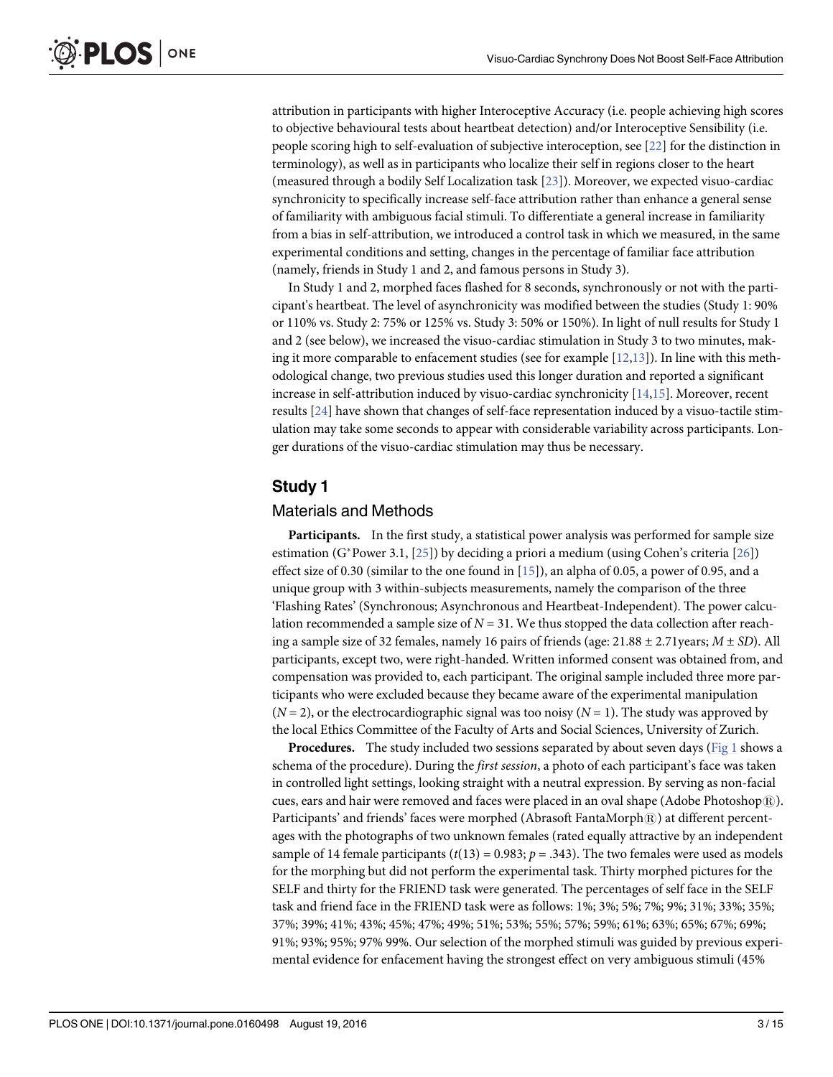<span id="page-2-0"></span>attribution in participants with higher Interoceptive Accuracy (i.e. people achieving high scores to objective behavioural tests about heartbeat detection) and/or Interoceptive Sensibility (i.e. people scoring high to self-evaluation of subjective interoception, see [\[22\]](#page-13-0) for the distinction in terminology), as well as in participants who localize their self in regions closer to the heart (measured through a bodily Self Localization task [\[23\]](#page-13-0)). Moreover, we expected visuo-cardiac synchronicity to specifically increase self-face attribution rather than enhance a general sense of familiarity with ambiguous facial stimuli. To differentiate a general increase in familiarity from a bias in self-attribution, we introduced a control task in which we measured, in the same experimental conditions and setting, changes in the percentage of familiar face attribution (namely, friends in Study 1 and 2, and famous persons in Study 3).

In Study 1 and 2, morphed faces flashed for 8 seconds, synchronously or not with the participant's heartbeat. The level of asynchronicity was modified between the studies (Study 1: 90% or 110% vs. Study 2: 75% or 125% vs. Study 3: 50% or 150%). In light of null results for Study 1 and 2 (see below), we increased the visuo-cardiac stimulation in Study 3 to two minutes, making it more comparable to enfacement studies (see for example  $[12,13]$  $[12,13]$ ). In line with this methodological change, two previous studies used this longer duration and reported a significant increase in self-attribution induced by visuo-cardiac synchronicity [[14](#page-13-0),[15](#page-13-0)]. Moreover, recent results  $[24]$  $[24]$  have shown that changes of self-face representation induced by a visuo-tactile stimulation may take some seconds to appear with considerable variability across participants. Longer durations of the visuo-cardiac stimulation may thus be necessary.

## Study 1

## Materials and Methods

Participants. In the first study, a statistical power analysis was performed for sample size estimation (G\*Power 3.1,  $[25]$  $[25]$  $[25]$ ) by deciding a priori a medium (using Cohen's criteria  $[26]$  $[26]$  $[26]$ ) effect size of 0.30 (similar to the one found in  $[15]$  $[15]$  $[15]$ ), an alpha of 0.05, a power of 0.95, and a unique group with 3 within-subjects measurements, namely the comparison of the three 'Flashing Rates' (Synchronous; Asynchronous and Heartbeat-Independent). The power calculation recommended a sample size of  $N = 31$ . We thus stopped the data collection after reaching a sample size of 32 females, namely 16 pairs of friends (age:  $21.88 \pm 2.71$ years;  $M \pm SD$ ). All participants, except two, were right-handed. Written informed consent was obtained from, and compensation was provided to, each participant. The original sample included three more participants who were excluded because they became aware of the experimental manipulation  $(N = 2)$ , or the electrocardiographic signal was too noisy  $(N = 1)$ . The study was approved by the local Ethics Committee of the Faculty of Arts and Social Sciences, University of Zurich.

**Procedures.** The study included two sessions separated by about seven days ( $Fig 1$  shows a schema of the procedure). During the first session, a photo of each participant's face was taken in controlled light settings, looking straight with a neutral expression. By serving as non-facial cues, ears and hair were removed and faces were placed in an oval shape (Adobe Photoshop $\mathbb{R}$ ). Participants' and friends' faces were morphed (Abrasoft FantaMorph $R$ ) at different percentages with the photographs of two unknown females (rated equally attractive by an independent sample of 14 female participants ( $t(13) = 0.983$ ;  $p = .343$ ). The two females were used as models for the morphing but did not perform the experimental task. Thirty morphed pictures for the SELF and thirty for the FRIEND task were generated. The percentages of self face in the SELF task and friend face in the FRIEND task were as follows: 1%; 3%; 5%; 7%; 9%; 31%; 33%; 35%; 37%; 39%; 41%; 43%; 45%; 47%; 49%; 51%; 53%; 55%; 57%; 59%; 61%; 63%; 65%; 67%; 69%; 91%; 93%; 95%; 97% 99%. Our selection of the morphed stimuli was guided by previous experimental evidence for enfacement having the strongest effect on very ambiguous stimuli (45%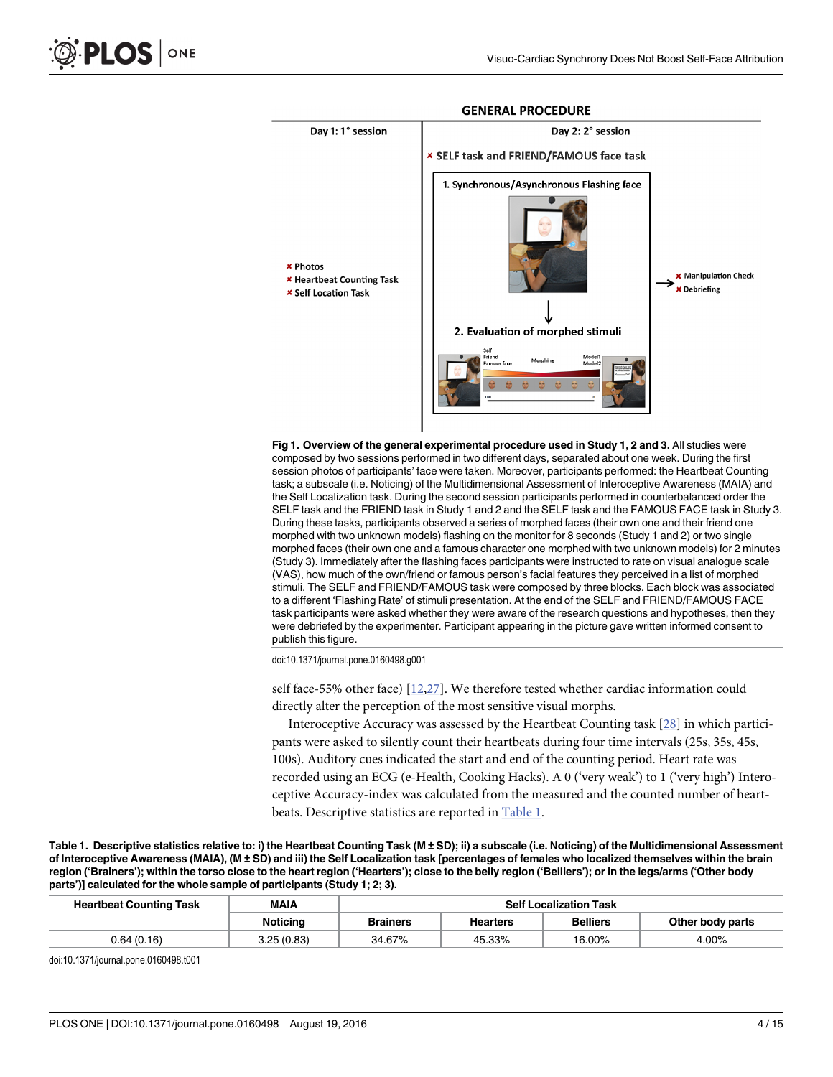<span id="page-3-0"></span>

#### **GENERAL PROCEDURE**

[Fig 1. O](#page-2-0)verview of the general experimental procedure used in Study 1, 2 and 3. All studies were composed by two sessions performed in two different days, separated about one week. During the first session photos of participants' face were taken. Moreover, participants performed: the Heartbeat Counting task; a subscale (i.e. Noticing) of the Multidimensional Assessment of Interoceptive Awareness (MAIA) and the Self Localization task. During the second session participants performed in counterbalanced order the SELF task and the FRIEND task in Study 1 and 2 and the SELF task and the FAMOUS FACE task in Study 3. During these tasks, participants observed a series of morphed faces (their own one and their friend one morphed with two unknown models) flashing on the monitor for 8 seconds (Study 1 and 2) or two single morphed faces (their own one and a famous character one morphed with two unknown models) for 2 minutes (Study 3). Immediately after the flashing faces participants were instructed to rate on visual analogue scale (VAS), how much of the own/friend or famous person's facial features they perceived in a list of morphed stimuli. The SELF and FRIEND/FAMOUS task were composed by three blocks. Each block was associated to a different 'Flashing Rate' of stimuli presentation. At the end of the SELF and FRIEND/FAMOUS FACE task participants were asked whether they were aware of the research questions and hypotheses, then they were debriefed by the experimenter. Participant appearing in the picture gave written informed consent to publish this figure.

doi:10.1371/journal.pone.0160498.g001

self face-55% other face) [[12,27](#page-13-0)]. We therefore tested whether cardiac information could directly alter the perception of the most sensitive visual morphs.

Interoceptive Accuracy was assessed by the Heartbeat Counting task [[28](#page-13-0)] in which participants were asked to silently count their heartbeats during four time intervals (25s, 35s, 45s, 100s). Auditory cues indicated the start and end of the counting period. Heart rate was recorded using an ECG (e-Health, Cooking Hacks). A 0 ('very weak') to 1 ('very high') Interoceptive Accuracy-index was calculated from the measured and the counted number of heartbeats. Descriptive statistics are reported in Table 1.

Table 1. Descriptive statistics relative to: i) the Heartbeat Counting Task (M ± SD); ii) a subscale (i.e. Noticing) of the Multidimensional Assessment of Interoceptive Awareness (MAIA), (M ± SD) and iii) the Self Localization task [percentages of females who localized themselves within the brain region ('Brainers'); within the torso close to the heart region ('Hearters'); close to the belly region ('Belliers'); or in the legs/arms ('Other body parts')] calculated for the whole sample of participants (Study 1; 2; 3).

| <b>Heartbeat Counting Task</b> | MAIA            | <b>Self Localization Task</b> |                 |                 |                  |
|--------------------------------|-----------------|-------------------------------|-----------------|-----------------|------------------|
|                                | <b>Noticing</b> | <b>Brainers</b>               | <b>Hearters</b> | <b>Belliers</b> | Other body parts |
| 0.64(0.16)                     | 3.25(0.83)      | 34.67%                        | 45.33%          | 16.00%          | 4.00%            |

doi:10.1371/journal.pone.0160498.t001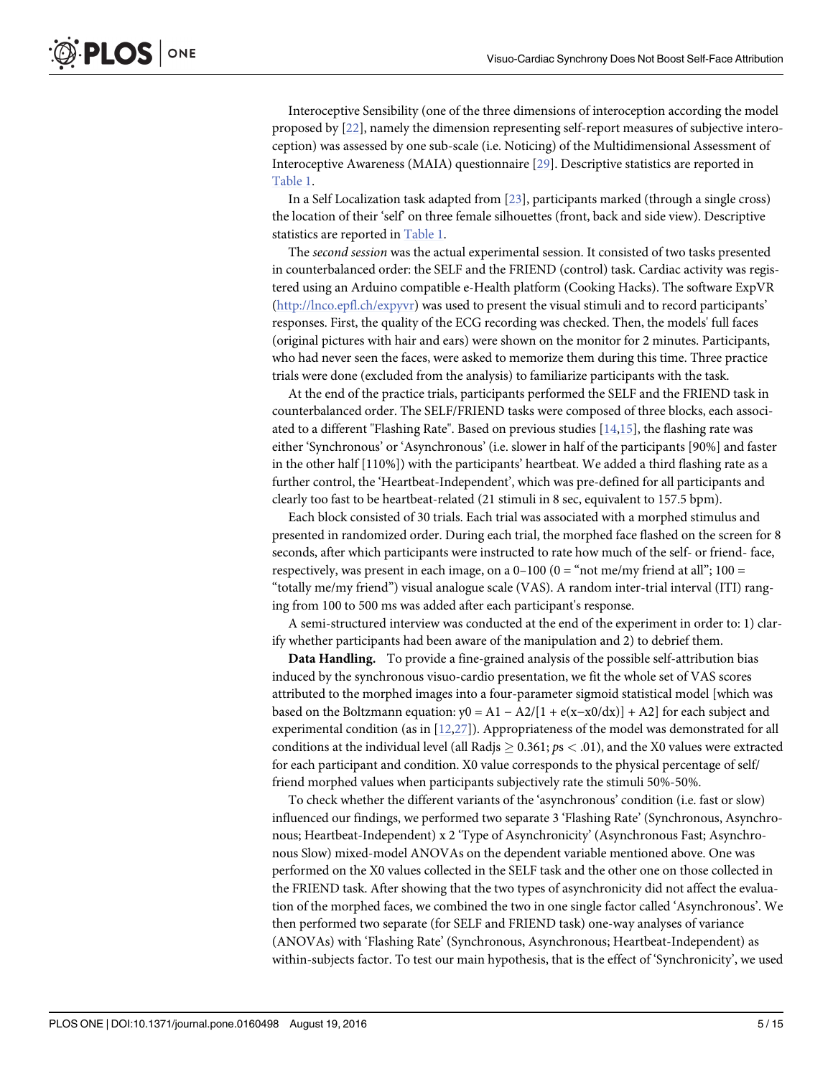<span id="page-4-0"></span>Interoceptive Sensibility (one of the three dimensions of interoception according the model proposed by [\[22](#page-13-0)], namely the dimension representing self-report measures of subjective interoception) was assessed by one sub-scale (i.e. Noticing) of the Multidimensional Assessment of Interoceptive Awareness (MAIA) questionnaire [[29](#page-13-0)]. Descriptive statistics are reported in [Table 1](#page-3-0).

In a Self Localization task adapted from  $[23]$ , participants marked (through a single cross) the location of their 'self' on three female silhouettes (front, back and side view). Descriptive statistics are reported in [Table 1](#page-3-0).

The second session was the actual experimental session. It consisted of two tasks presented in counterbalanced order: the SELF and the FRIEND (control) task. Cardiac activity was registered using an Arduino compatible e-Health platform (Cooking Hacks). The software ExpVR [\(http://lnco.epfl.ch/expyvr\)](http://lnco.epfl.ch/expyvr) was used to present the visual stimuli and to record participants' responses. First, the quality of the ECG recording was checked. Then, the models' full faces (original pictures with hair and ears) were shown on the monitor for 2 minutes. Participants, who had never seen the faces, were asked to memorize them during this time. Three practice trials were done (excluded from the analysis) to familiarize participants with the task.

At the end of the practice trials, participants performed the SELF and the FRIEND task in counterbalanced order. The SELF/FRIEND tasks were composed of three blocks, each associated to a different "Flashing Rate". Based on previous studies [[14](#page-13-0),[15](#page-13-0)], the flashing rate was either 'Synchronous' or 'Asynchronous' (i.e. slower in half of the participants [90%] and faster in the other half [110%]) with the participants' heartbeat. We added a third flashing rate as a further control, the 'Heartbeat-Independent', which was pre-defined for all participants and clearly too fast to be heartbeat-related (21 stimuli in 8 sec, equivalent to 157.5 bpm).

Each block consisted of 30 trials. Each trial was associated with a morphed stimulus and presented in randomized order. During each trial, the morphed face flashed on the screen for 8 seconds, after which participants were instructed to rate how much of the self- or friend- face, respectively, was present in each image, on a  $0-100$  ( $0 =$  "not me/my friend at all"; 100 = "totally me/my friend") visual analogue scale (VAS). A random inter-trial interval (ITI) ranging from 100 to 500 ms was added after each participant's response.

A semi-structured interview was conducted at the end of the experiment in order to: 1) clarify whether participants had been aware of the manipulation and 2) to debrief them.

Data Handling. To provide a fine-grained analysis of the possible self-attribution bias induced by the synchronous visuo-cardio presentation, we fit the whole set of VAS scores attributed to the morphed images into a four-parameter sigmoid statistical model [which was based on the Boltzmann equation:  $y0 = A1 - A2/[1 + e(x-x0/dx)] + A2]$  for each subject and experimental condition (as in  $[12,27]$ ). Appropriateness of the model was demonstrated for all conditions at the individual level (all Radjs  $> 0.361$ ;  $ps < .01$ ), and the X0 values were extracted for each participant and condition. X0 value corresponds to the physical percentage of self/ friend morphed values when participants subjectively rate the stimuli 50%-50%.

To check whether the different variants of the 'asynchronous' condition (i.e. fast or slow) influenced our findings, we performed two separate 3 'Flashing Rate' (Synchronous, Asynchronous; Heartbeat-Independent) x 2 'Type of Asynchronicity' (Asynchronous Fast; Asynchronous Slow) mixed-model ANOVAs on the dependent variable mentioned above. One was performed on the X0 values collected in the SELF task and the other one on those collected in the FRIEND task. After showing that the two types of asynchronicity did not affect the evaluation of the morphed faces, we combined the two in one single factor called 'Asynchronous'. We then performed two separate (for SELF and FRIEND task) one-way analyses of variance (ANOVAs) with 'Flashing Rate' (Synchronous, Asynchronous; Heartbeat-Independent) as within-subjects factor. To test our main hypothesis, that is the effect of 'Synchronicity', we used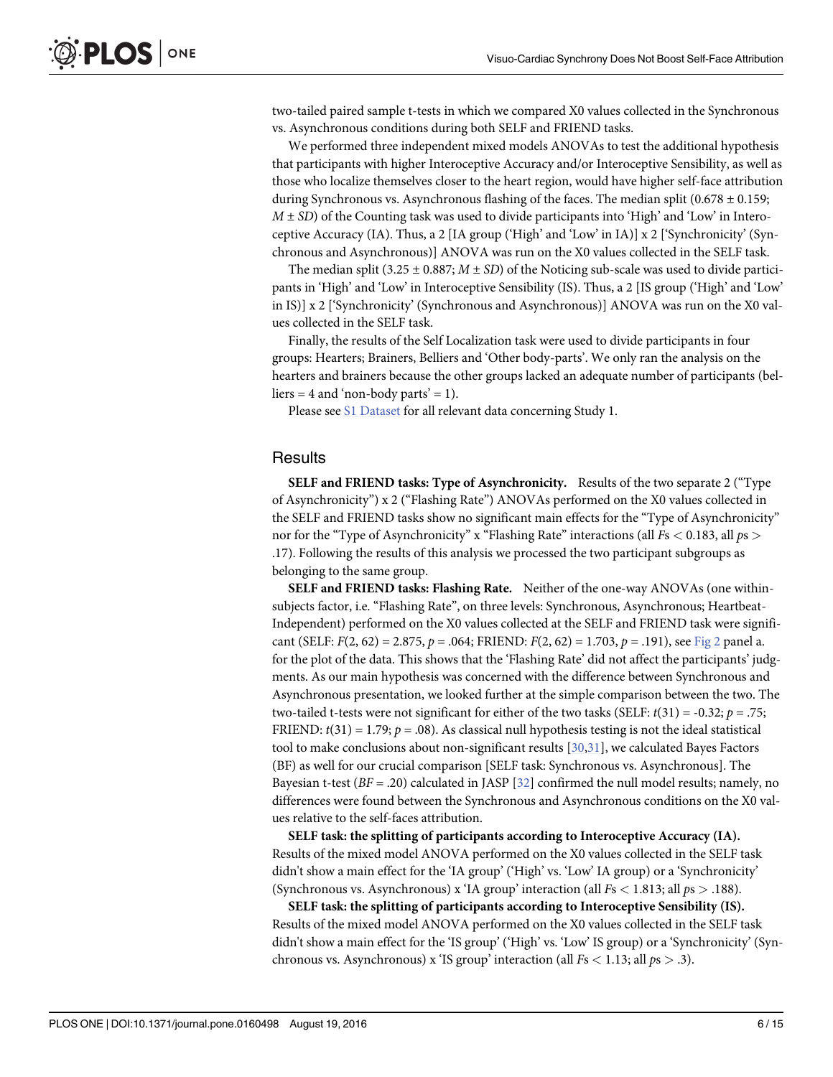<span id="page-5-0"></span>two-tailed paired sample t-tests in which we compared X0 values collected in the Synchronous vs. Asynchronous conditions during both SELF and FRIEND tasks.

We performed three independent mixed models ANOVAs to test the additional hypothesis that participants with higher Interoceptive Accuracy and/or Interoceptive Sensibility, as well as those who localize themselves closer to the heart region, would have higher self-face attribution during Synchronous vs. Asynchronous flashing of the faces. The median split (0.678  $\pm$  0.159;  $M \pm SD$ ) of the Counting task was used to divide participants into 'High' and 'Low' in Interoceptive Accuracy (IA). Thus, a 2 [IA group ('High' and 'Low' in IA)] x 2 ['Synchronicity' (Synchronous and Asynchronous)] ANOVA was run on the X0 values collected in the SELF task.

The median split (3.25  $\pm$  0.887;  $M \pm SD$ ) of the Noticing sub-scale was used to divide participants in 'High' and 'Low' in Interoceptive Sensibility (IS). Thus, a 2 [IS group ('High' and 'Low' in IS)] x 2 ['Synchronicity' (Synchronous and Asynchronous)] ANOVA was run on the X0 values collected in the SELF task.

Finally, the results of the Self Localization task were used to divide participants in four groups: Hearters; Brainers, Belliers and 'Other body-parts'. We only ran the analysis on the hearters and brainers because the other groups lacked an adequate number of participants (bel $liers = 4$  and 'non-body parts' = 1).

Please see [S1 Dataset](#page-12-0) for all relevant data concerning Study 1.

#### Results

SELF and FRIEND tasks: Type of Asynchronicity. Results of the two separate 2 ("Type of Asynchronicity") x 2 ("Flashing Rate") ANOVAs performed on the X0 values collected in the SELF and FRIEND tasks show no significant main effects for the "Type of Asynchronicity" nor for the "Type of Asynchronicity" x "Flashing Rate" interactions (all  $Fs < 0.183$ , all  $ps >$ .17). Following the results of this analysis we processed the two participant subgroups as belonging to the same group.

SELF and FRIEND tasks: Flashing Rate. Neither of the one-way ANOVAs (one withinsubjects factor, i.e. "Flashing Rate", on three levels: Synchronous, Asynchronous; Heartbeat-Independent) performed on the X0 values collected at the SELF and FRIEND task were significant (SELF:  $F(2, 62) = 2.875$ ,  $p = .064$ ; FRIEND:  $F(2, 62) = 1.703$ ,  $p = .191$ ), see [Fig 2](#page-6-0) panel a. for the plot of the data. This shows that the 'Flashing Rate' did not affect the participants' judgments. As our main hypothesis was concerned with the difference between Synchronous and Asynchronous presentation, we looked further at the simple comparison between the two. The two-tailed t-tests were not significant for either of the two tasks (SELF:  $t(31) = -0.32$ ;  $p = .75$ ; FRIEND:  $t(31) = 1.79$ ;  $p = .08$ ). As classical null hypothesis testing is not the ideal statistical tool to make conclusions about non-significant results  $[30,31]$  $[30,31]$ , we calculated Bayes Factors (BF) as well for our crucial comparison [SELF task: Synchronous vs. Asynchronous]. The Bayesian t-test  $(BF = .20)$  calculated in JASP [\[32\]](#page-13-0) confirmed the null model results; namely, no differences were found between the Synchronous and Asynchronous conditions on the X0 values relative to the self-faces attribution.

SELF task: the splitting of participants according to Interoceptive Accuracy (IA). Results of the mixed model ANOVA performed on the X0 values collected in the SELF task didn't show a main effect for the 'IA group' ('High' vs. 'Low' IA group) or a 'Synchronicity' (Synchronous vs. Asynchronous) x 'IA group' interaction (all  $Fs < 1.813$ ; all  $ps > .188$ ).

SELF task: the splitting of participants according to Interoceptive Sensibility (IS). Results of the mixed model ANOVA performed on the X0 values collected in the SELF task didn't show a main effect for the 'IS group' ('High' vs. 'Low' IS group) or a 'Synchronicity' (Synchronous vs. Asynchronous) x 'IS group' interaction (all  $Fs < 1.13$ ; all  $ps > .3$ ).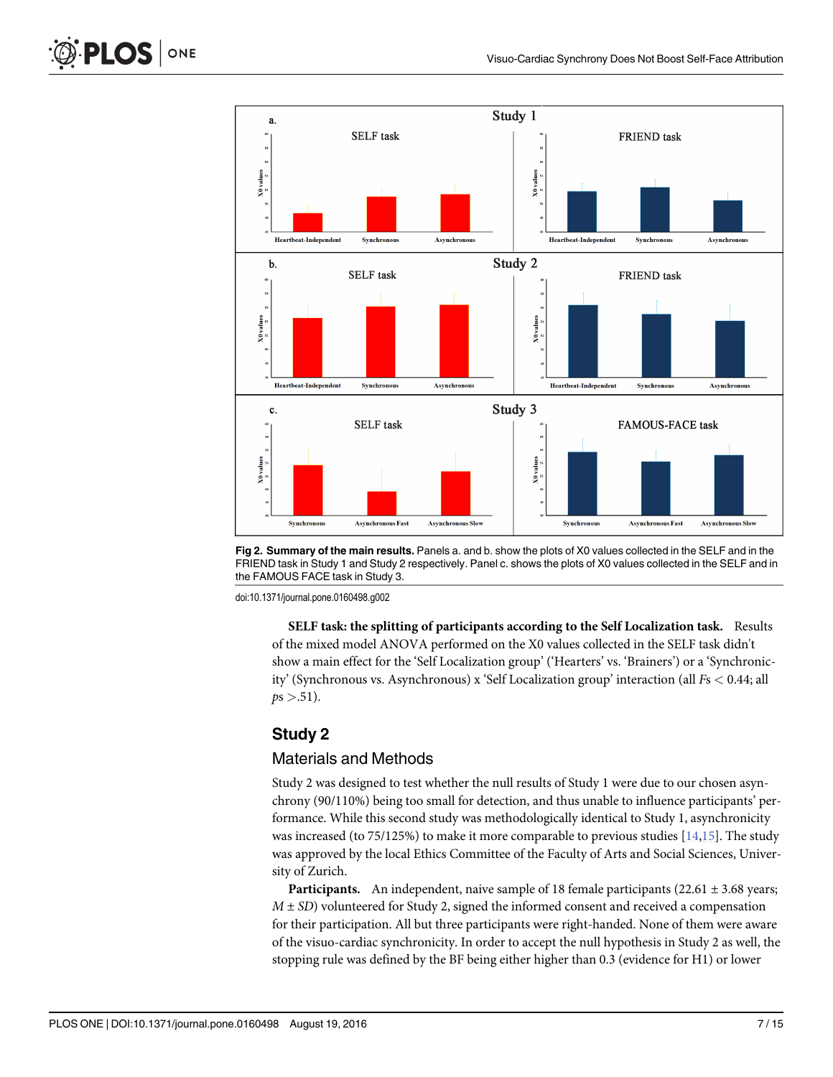<span id="page-6-0"></span>





doi:10.1371/journal.pone.0160498.g002

SELF task: the splitting of participants according to the Self Localization task. Results of the mixed model ANOVA performed on the X0 values collected in the SELF task didn't show a main effect for the 'Self Localization group' ('Hearters' vs. 'Brainers') or a 'Synchronicity' (Synchronous vs. Asynchronous) x 'Self Localization group' interaction (all Fs < 0.44; all  $ps > .51$ ).

## Study 2

#### Materials and Methods

Study 2 was designed to test whether the null results of Study 1 were due to our chosen asynchrony (90/110%) being too small for detection, and thus unable to influence participants' performance. While this second study was methodologically identical to Study 1, asynchronicity was increased (to 75/125%) to make it more comparable to previous studies  $[14,15]$ . The study was approved by the local Ethics Committee of the Faculty of Arts and Social Sciences, University of Zurich.

**Participants.** An independent, naive sample of 18 female participants (22.61  $\pm$  3.68 years;  $M \pm SD$ ) volunteered for Study 2, signed the informed consent and received a compensation for their participation. All but three participants were right-handed. None of them were aware of the visuo-cardiac synchronicity. In order to accept the null hypothesis in Study 2 as well, the stopping rule was defined by the BF being either higher than 0.3 (evidence for H1) or lower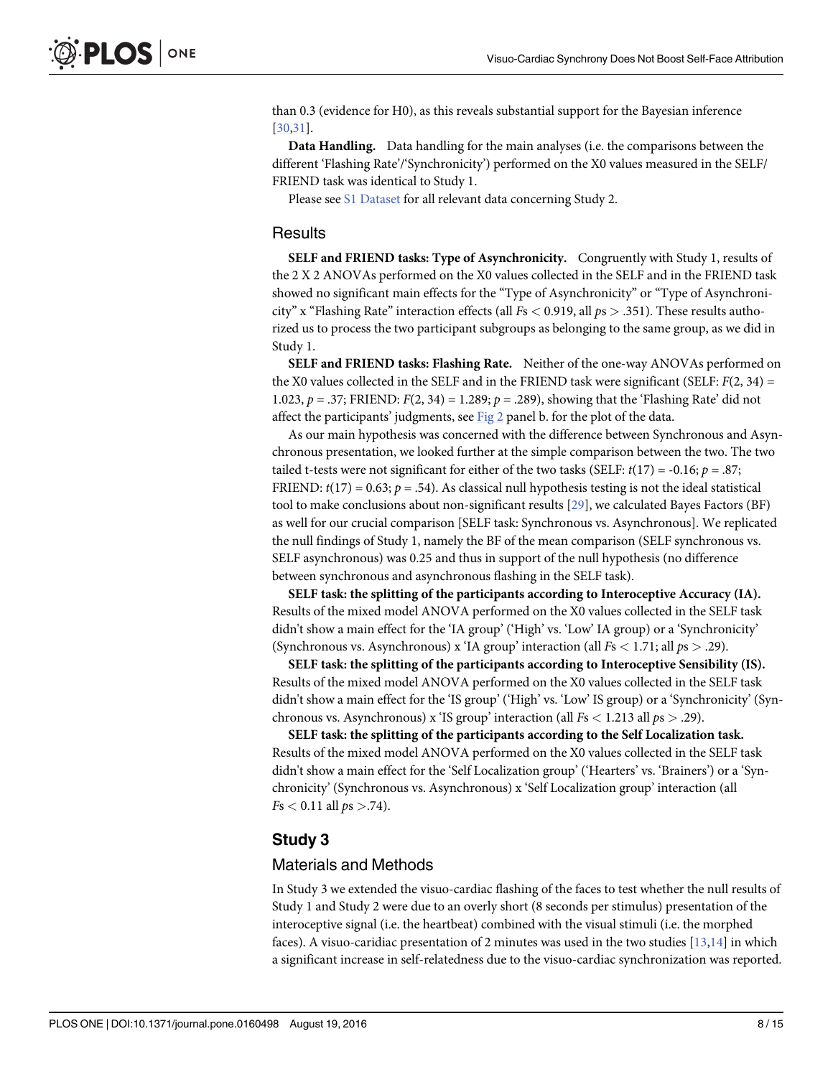than 0.3 (evidence for H0), as this reveals substantial support for the Bayesian inference [\[30,31\]](#page-13-0).

Data Handling. Data handling for the main analyses (i.e. the comparisons between the different 'Flashing Rate'/'Synchronicity') performed on the X0 values measured in the SELF/ FRIEND task was identical to Study 1.

Please see [S1 Dataset](#page-12-0) for all relevant data concerning Study 2.

#### **Results**

SELF and FRIEND tasks: Type of Asynchronicity. Congruently with Study 1, results of the 2 X 2 ANOVAs performed on the X0 values collected in the SELF and in the FRIEND task showed no significant main effects for the "Type of Asynchronicity" or "Type of Asynchronicity" x "Flashing Rate" interaction effects (all  $Fs < 0.919$ , all  $ps > .351$ ). These results authorized us to process the two participant subgroups as belonging to the same group, as we did in Study 1.

SELF and FRIEND tasks: Flashing Rate. Neither of the one-way ANOVAs performed on the X0 values collected in the SELF and in the FRIEND task were significant (SELF:  $F(2, 34) =$ 1.023,  $p = 0.37$ ; FRIEND:  $F(2, 34) = 1.289$ ;  $p = 0.289$ , showing that the 'Flashing Rate' did not affect the participants' judgments, see [Fig 2](#page-6-0) panel b. for the plot of the data.

As our main hypothesis was concerned with the difference between Synchronous and Asynchronous presentation, we looked further at the simple comparison between the two. The two tailed t-tests were not significant for either of the two tasks (SELF:  $t(17) = -0.16$ ;  $p = .87$ ; FRIEND:  $t(17) = 0.63$ ;  $p = .54$ ). As classical null hypothesis testing is not the ideal statistical tool to make conclusions about non-significant results [\[29\]](#page-13-0), we calculated Bayes Factors (BF) as well for our crucial comparison [SELF task: Synchronous vs. Asynchronous]. We replicated the null findings of Study 1, namely the BF of the mean comparison (SELF synchronous vs. SELF asynchronous) was 0.25 and thus in support of the null hypothesis (no difference between synchronous and asynchronous flashing in the SELF task).

SELF task: the splitting of the participants according to Interoceptive Accuracy (IA). Results of the mixed model ANOVA performed on the X0 values collected in the SELF task didn't show a main effect for the 'IA group' ('High' vs. 'Low' IA group) or a 'Synchronicity' (Synchronous vs. Asynchronous) x 'IA group' interaction (all  $Fs < 1.71$ ; all  $ps > .29$ ).

SELF task: the splitting of the participants according to Interoceptive Sensibility (IS). Results of the mixed model ANOVA performed on the X0 values collected in the SELF task didn't show a main effect for the 'IS group' ('High' vs. 'Low' IS group) or a 'Synchronicity' (Synchronous vs. Asynchronous) x 'IS group' interaction (all  $Fs < 1.213$  all  $ps > .29$ ).

SELF task: the splitting of the participants according to the Self Localization task. Results of the mixed model ANOVA performed on the X0 values collected in the SELF task didn't show a main effect for the 'Self Localization group' ('Hearters' vs. 'Brainers') or a 'Synchronicity' (Synchronous vs. Asynchronous) x 'Self Localization group' interaction (all  $Fs < 0.11$  all  $ps > .74$ ).

### Study 3

#### Materials and Methods

In Study 3 we extended the visuo-cardiac flashing of the faces to test whether the null results of Study 1 and Study 2 were due to an overly short (8 seconds per stimulus) presentation of the interoceptive signal (i.e. the heartbeat) combined with the visual stimuli (i.e. the morphed faces). A visuo-caridiac presentation of 2 minutes was used in the two studies  $[13,14]$  in which a significant increase in self-relatedness due to the visuo-cardiac synchronization was reported.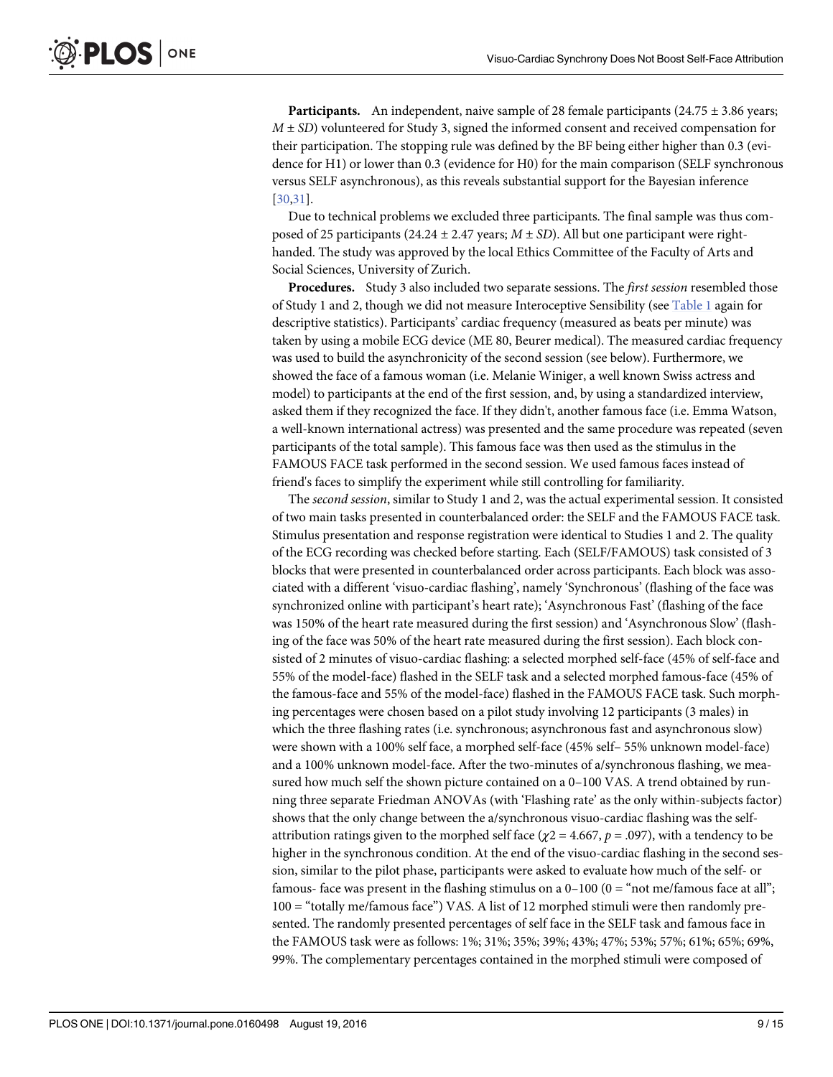**Participants.** An independent, naive sample of 28 female participants (24.75  $\pm$  3.86 years;  $M \pm SD$ ) volunteered for Study 3, signed the informed consent and received compensation for their participation. The stopping rule was defined by the BF being either higher than 0.3 (evidence for H1) or lower than 0.3 (evidence for H0) for the main comparison (SELF synchronous versus SELF asynchronous), as this reveals substantial support for the Bayesian inference [\[30,31\]](#page-13-0).

Due to technical problems we excluded three participants. The final sample was thus composed of 25 participants (24.24  $\pm$  2.47 years;  $M \pm SD$ ). All but one participant were righthanded. The study was approved by the local Ethics Committee of the Faculty of Arts and Social Sciences, University of Zurich.

Procedures. Study 3 also included two separate sessions. The *first session* resembled those of Study 1 and 2, though we did not measure Interoceptive Sensibility (see [Table 1](#page-3-0) again for descriptive statistics). Participants' cardiac frequency (measured as beats per minute) was taken by using a mobile ECG device (ME 80, Beurer medical). The measured cardiac frequency was used to build the asynchronicity of the second session (see below). Furthermore, we showed the face of a famous woman (i.e. Melanie Winiger, a well known Swiss actress and model) to participants at the end of the first session, and, by using a standardized interview, asked them if they recognized the face. If they didn't, another famous face (i.e. Emma Watson, a well-known international actress) was presented and the same procedure was repeated (seven participants of the total sample). This famous face was then used as the stimulus in the FAMOUS FACE task performed in the second session. We used famous faces instead of friend's faces to simplify the experiment while still controlling for familiarity.

The second session, similar to Study 1 and 2, was the actual experimental session. It consisted of two main tasks presented in counterbalanced order: the SELF and the FAMOUS FACE task. Stimulus presentation and response registration were identical to Studies 1 and 2. The quality of the ECG recording was checked before starting. Each (SELF/FAMOUS) task consisted of 3 blocks that were presented in counterbalanced order across participants. Each block was associated with a different 'visuo-cardiac flashing', namely 'Synchronous' (flashing of the face was synchronized online with participant's heart rate); 'Asynchronous Fast' (flashing of the face was 150% of the heart rate measured during the first session) and 'Asynchronous Slow' (flashing of the face was 50% of the heart rate measured during the first session). Each block consisted of 2 minutes of visuo-cardiac flashing: a selected morphed self-face (45% of self-face and 55% of the model-face) flashed in the SELF task and a selected morphed famous-face (45% of the famous-face and 55% of the model-face) flashed in the FAMOUS FACE task. Such morphing percentages were chosen based on a pilot study involving 12 participants (3 males) in which the three flashing rates (i.e. synchronous; asynchronous fast and asynchronous slow) were shown with a 100% self face, a morphed self-face (45% self– 55% unknown model-face) and a 100% unknown model-face. After the two-minutes of a/synchronous flashing, we measured how much self the shown picture contained on a 0–100 VAS. A trend obtained by running three separate Friedman ANOVAs (with 'Flashing rate' as the only within-subjects factor) shows that the only change between the a/synchronous visuo-cardiac flashing was the selfattribution ratings given to the morphed self face ( $\chi$ 2 = 4.667,  $p$  = .097), with a tendency to be higher in the synchronous condition. At the end of the visuo-cardiac flashing in the second session, similar to the pilot phase, participants were asked to evaluate how much of the self- or famous- face was present in the flashing stimulus on a  $0-100$  ( $0 =$  "not me/famous face at all"; 100 = "totally me/famous face") VAS. A list of 12 morphed stimuli were then randomly presented. The randomly presented percentages of self face in the SELF task and famous face in the FAMOUS task were as follows: 1%; 31%; 35%; 39%; 43%; 47%; 53%; 57%; 61%; 65%; 69%, 99%. The complementary percentages contained in the morphed stimuli were composed of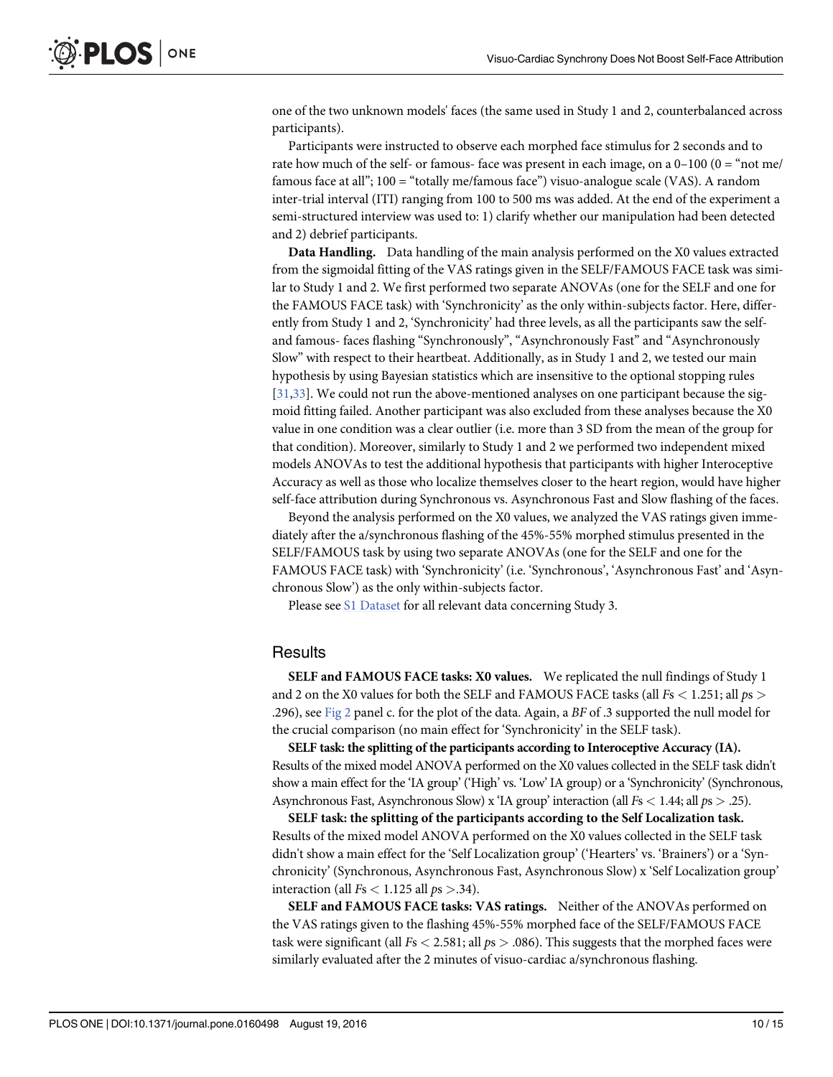<span id="page-9-0"></span>one of the two unknown models' faces (the same used in Study 1 and 2, counterbalanced across participants).

Participants were instructed to observe each morphed face stimulus for 2 seconds and to rate how much of the self- or famous- face was present in each image, on a  $0-100$   $(0 = "not me]$ famous face at all"; 100 = "totally me/famous face") visuo-analogue scale (VAS). A random inter-trial interval (ITI) ranging from 100 to 500 ms was added. At the end of the experiment a semi-structured interview was used to: 1) clarify whether our manipulation had been detected and 2) debrief participants.

Data Handling. Data handling of the main analysis performed on the X0 values extracted from the sigmoidal fitting of the VAS ratings given in the SELF/FAMOUS FACE task was similar to Study 1 and 2. We first performed two separate ANOVAs (one for the SELF and one for the FAMOUS FACE task) with 'Synchronicity' as the only within-subjects factor. Here, differently from Study 1 and 2, 'Synchronicity' had three levels, as all the participants saw the selfand famous- faces flashing "Synchronously", "Asynchronously Fast" and "Asynchronously Slow" with respect to their heartbeat. Additionally, as in Study 1 and 2, we tested our main hypothesis by using Bayesian statistics which are insensitive to the optional stopping rules [\[31,33\]](#page-13-0). We could not run the above-mentioned analyses on one participant because the sigmoid fitting failed. Another participant was also excluded from these analyses because the X0 value in one condition was a clear outlier (i.e. more than 3 SD from the mean of the group for that condition). Moreover, similarly to Study 1 and 2 we performed two independent mixed models ANOVAs to test the additional hypothesis that participants with higher Interoceptive Accuracy as well as those who localize themselves closer to the heart region, would have higher self-face attribution during Synchronous vs. Asynchronous Fast and Slow flashing of the faces.

Beyond the analysis performed on the X0 values, we analyzed the VAS ratings given immediately after the a/synchronous flashing of the 45%-55% morphed stimulus presented in the SELF/FAMOUS task by using two separate ANOVAs (one for the SELF and one for the FAMOUS FACE task) with 'Synchronicity' (i.e. 'Synchronous', 'Asynchronous Fast' and 'Asynchronous Slow') as the only within-subjects factor.

Please see [S1 Dataset](#page-12-0) for all relevant data concerning Study 3.

#### **Results**

SELF and FAMOUS FACE tasks: X0 values. We replicated the null findings of Study 1 and 2 on the X0 values for both the SELF and FAMOUS FACE tasks (all  $Fs < 1.251$ ; all  $ps >$ .296), see [Fig 2](#page-6-0) panel c. for the plot of the data. Again, a BF of .3 supported the null model for the crucial comparison (no main effect for 'Synchronicity' in the SELF task).

SELF task: the splitting of the participants according to Interoceptive Accuracy (IA). Results of the mixed model ANOVA performed on the X0 values collected in the SELF task didn't show a main effect for the 'IA group' ('High' vs. 'Low' IA group) or a 'Synchronicity' (Synchronous, Asynchronous Fast, Asynchronous Slow) x 'IA group' interaction (all Fs < 1.44; all ps > .25).

SELF task: the splitting of the participants according to the Self Localization task. Results of the mixed model ANOVA performed on the X0 values collected in the SELF task didn't show a main effect for the 'Self Localization group' ('Hearters' vs. 'Brainers') or a 'Synchronicity' (Synchronous, Asynchronous Fast, Asynchronous Slow) x 'Self Localization group' interaction (all  $Fs < 1.125$  all  $ps > .34$ ).

SELF and FAMOUS FACE tasks: VAS ratings. Neither of the ANOVAs performed on the VAS ratings given to the flashing 45%-55% morphed face of the SELF/FAMOUS FACE task were significant (all  $Fs < 2.581$ ; all  $ps > .086$ ). This suggests that the morphed faces were similarly evaluated after the 2 minutes of visuo-cardiac a/synchronous flashing.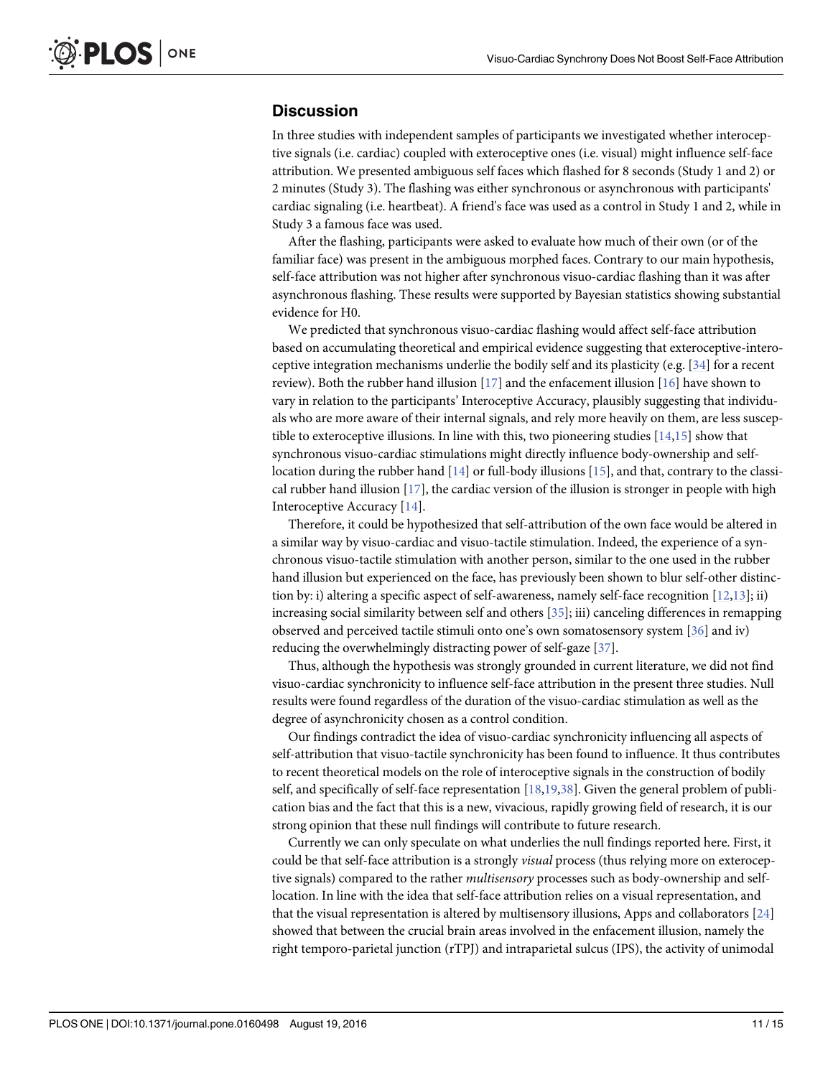## <span id="page-10-0"></span>**Discussion**

In three studies with independent samples of participants we investigated whether interoceptive signals (i.e. cardiac) coupled with exteroceptive ones (i.e. visual) might influence self-face attribution. We presented ambiguous self faces which flashed for 8 seconds (Study 1 and 2) or 2 minutes (Study 3). The flashing was either synchronous or asynchronous with participants' cardiac signaling (i.e. heartbeat). A friend's face was used as a control in Study 1 and 2, while in Study 3 a famous face was used.

After the flashing, participants were asked to evaluate how much of their own (or of the familiar face) was present in the ambiguous morphed faces. Contrary to our main hypothesis, self-face attribution was not higher after synchronous visuo-cardiac flashing than it was after asynchronous flashing. These results were supported by Bayesian statistics showing substantial evidence for H0.

We predicted that synchronous visuo-cardiac flashing would affect self-face attribution based on accumulating theoretical and empirical evidence suggesting that exteroceptive-interoceptive integration mechanisms underlie the bodily self and its plasticity (e.g. [\[34\]](#page-13-0) for a recent review). Both the rubber hand illusion [\[17](#page-13-0)] and the enfacement illusion [[16\]](#page-13-0) have shown to vary in relation to the participants' Interoceptive Accuracy, plausibly suggesting that individuals who are more aware of their internal signals, and rely more heavily on them, are less susceptible to exteroceptive illusions. In line with this, two pioneering studies  $[14,15]$  show that synchronous visuo-cardiac stimulations might directly influence body-ownership and selflocation during the rubber hand  $[14]$  $[14]$  $[14]$  or full-body illusions  $[15]$  $[15]$ , and that, contrary to the classical rubber hand illusion  $[17]$  $[17]$  $[17]$ , the cardiac version of the illusion is stronger in people with high Interoceptive Accuracy [[14](#page-13-0)].

Therefore, it could be hypothesized that self-attribution of the own face would be altered in a similar way by visuo-cardiac and visuo-tactile stimulation. Indeed, the experience of a synchronous visuo-tactile stimulation with another person, similar to the one used in the rubber hand illusion but experienced on the face, has previously been shown to blur self-other distinction by: i) altering a specific aspect of self-awareness, namely self-face recognition [[12,13](#page-13-0)]; ii) increasing social similarity between self and others  $[35]$ ; iii) canceling differences in remapping observed and perceived tactile stimuli onto one's own somatosensory system [\[36\]](#page-13-0) and iv) reducing the overwhelmingly distracting power of self-gaze [[37](#page-14-0)].

Thus, although the hypothesis was strongly grounded in current literature, we did not find visuo-cardiac synchronicity to influence self-face attribution in the present three studies. Null results were found regardless of the duration of the visuo-cardiac stimulation as well as the degree of asynchronicity chosen as a control condition.

Our findings contradict the idea of visuo-cardiac synchronicity influencing all aspects of self-attribution that visuo-tactile synchronicity has been found to influence. It thus contributes to recent theoretical models on the role of interoceptive signals in the construction of bodily self, and specifically of self-face representation [\[18,19,](#page-13-0)[38\]](#page-14-0). Given the general problem of publication bias and the fact that this is a new, vivacious, rapidly growing field of research, it is our strong opinion that these null findings will contribute to future research.

Currently we can only speculate on what underlies the null findings reported here. First, it could be that self-face attribution is a strongly *visual* process (thus relying more on exteroceptive signals) compared to the rather multisensory processes such as body-ownership and selflocation. In line with the idea that self-face attribution relies on a visual representation, and that the visual representation is altered by multisensory illusions, Apps and collaborators [\[24](#page-13-0)] showed that between the crucial brain areas involved in the enfacement illusion, namely the right temporo-parietal junction (rTPJ) and intraparietal sulcus (IPS), the activity of unimodal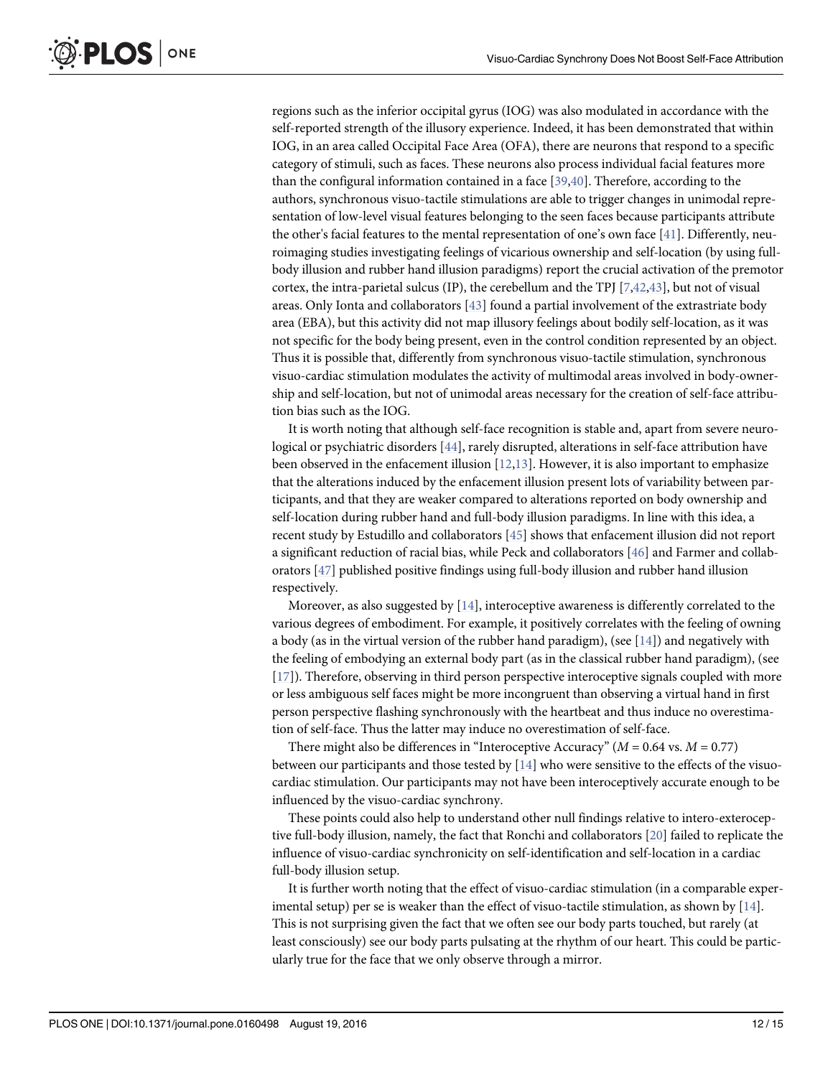<span id="page-11-0"></span>regions such as the inferior occipital gyrus (IOG) was also modulated in accordance with the self-reported strength of the illusory experience. Indeed, it has been demonstrated that within IOG, in an area called Occipital Face Area (OFA), there are neurons that respond to a specific category of stimuli, such as faces. These neurons also process individual facial features more than the configural information contained in a face [[39](#page-14-0),[40](#page-14-0)]. Therefore, according to the authors, synchronous visuo-tactile stimulations are able to trigger changes in unimodal representation of low-level visual features belonging to the seen faces because participants attribute the other's facial features to the mental representation of one's own face [[41](#page-14-0)]. Differently, neuroimaging studies investigating feelings of vicarious ownership and self-location (by using fullbody illusion and rubber hand illusion paradigms) report the crucial activation of the premotor cortex, the intra-parietal sulcus (IP), the cerebellum and the TPJ [[7](#page-12-0),[42,43\]](#page-14-0), but not of visual areas. Only Ionta and collaborators [[43](#page-14-0)] found a partial involvement of the extrastriate body area (EBA), but this activity did not map illusory feelings about bodily self-location, as it was not specific for the body being present, even in the control condition represented by an object. Thus it is possible that, differently from synchronous visuo-tactile stimulation, synchronous visuo-cardiac stimulation modulates the activity of multimodal areas involved in body-ownership and self-location, but not of unimodal areas necessary for the creation of self-face attribution bias such as the IOG.

It is worth noting that although self-face recognition is stable and, apart from severe neurological or psychiatric disorders [[44](#page-14-0)], rarely disrupted, alterations in self-face attribution have been observed in the enfacement illusion  $[12,13]$  $[12,13]$  $[12,13]$  $[12,13]$  $[12,13]$ . However, it is also important to emphasize that the alterations induced by the enfacement illusion present lots of variability between participants, and that they are weaker compared to alterations reported on body ownership and self-location during rubber hand and full-body illusion paradigms. In line with this idea, a recent study by Estudillo and collaborators [[45](#page-14-0)] shows that enfacement illusion did not report a significant reduction of racial bias, while Peck and collaborators [\[46\]](#page-14-0) and Farmer and collaborators [[47\]](#page-14-0) published positive findings using full-body illusion and rubber hand illusion respectively.

Moreover, as also suggested by  $[14]$ , interoceptive awareness is differently correlated to the various degrees of embodiment. For example, it positively correlates with the feeling of owning a body (as in the virtual version of the rubber hand paradigm), (see  $[14]$  $[14]$ ) and negatively with the feeling of embodying an external body part (as in the classical rubber hand paradigm), (see [\[17](#page-13-0)]). Therefore, observing in third person perspective interoceptive signals coupled with more or less ambiguous self faces might be more incongruent than observing a virtual hand in first person perspective flashing synchronously with the heartbeat and thus induce no overestimation of self-face. Thus the latter may induce no overestimation of self-face.

There might also be differences in "Interoceptive Accuracy" ( $M = 0.64$  vs.  $M = 0.77$ ) between our participants and those tested by [[14](#page-13-0)] who were sensitive to the effects of the visuocardiac stimulation. Our participants may not have been interoceptively accurate enough to be influenced by the visuo-cardiac synchrony.

These points could also help to understand other null findings relative to intero-exteroceptive full-body illusion, namely, the fact that Ronchi and collaborators [[20](#page-13-0)] failed to replicate the influence of visuo-cardiac synchronicity on self-identification and self-location in a cardiac full-body illusion setup.

It is further worth noting that the effect of visuo-cardiac stimulation (in a comparable experimental setup) per se is weaker than the effect of visuo-tactile stimulation, as shown by [[14](#page-13-0)]. This is not surprising given the fact that we often see our body parts touched, but rarely (at least consciously) see our body parts pulsating at the rhythm of our heart. This could be particularly true for the face that we only observe through a mirror.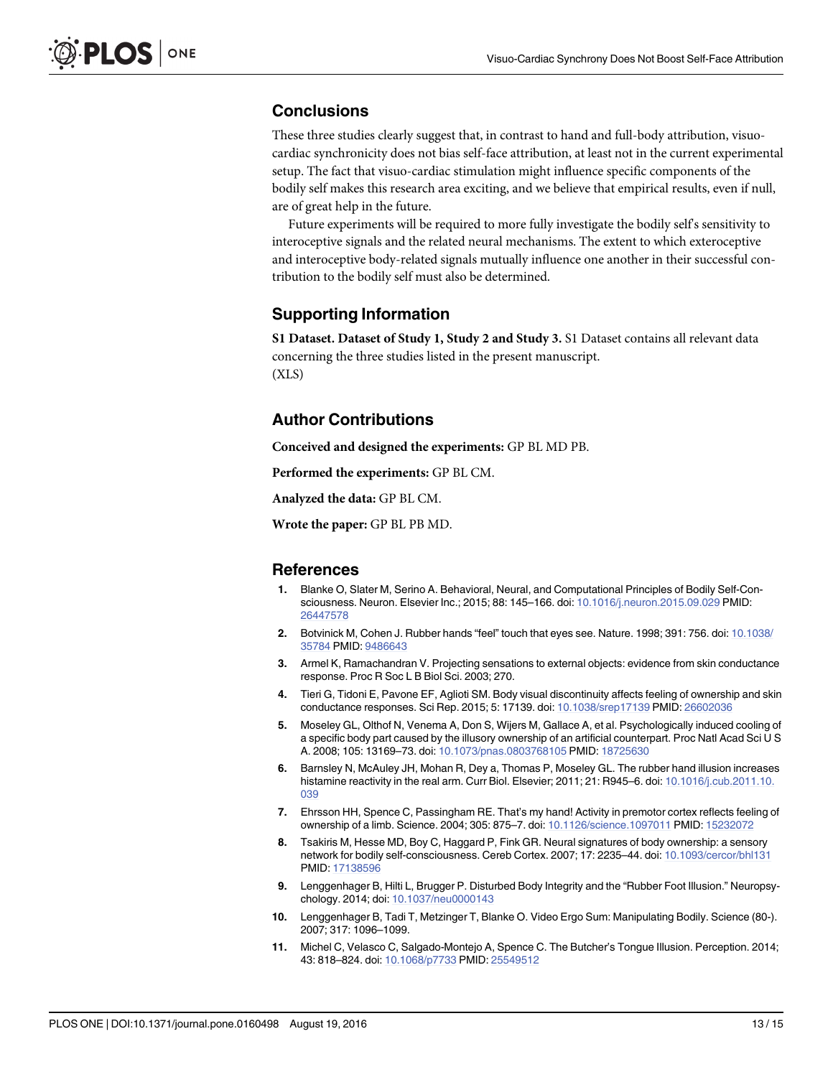## <span id="page-12-0"></span>**Conclusions**

These three studies clearly suggest that, in contrast to hand and full-body attribution, visuocardiac synchronicity does not bias self-face attribution, at least not in the current experimental setup. The fact that visuo-cardiac stimulation might influence specific components of the bodily self makes this research area exciting, and we believe that empirical results, even if null, are of great help in the future.

Future experiments will be required to more fully investigate the bodily self's sensitivity to interoceptive signals and the related neural mechanisms. The extent to which exteroceptive and interoceptive body-related signals mutually influence one another in their successful contribution to the bodily self must also be determined.

#### Supporting Information

[S1 Dataset.](http://www.plosone.org/article/fetchSingleRepresentation.action?uri=info:doi/10.1371/journal.pone.0160498.s001) Dataset of Study 1, Study 2 and Study 3. S1 Dataset contains all relevant data concerning the three studies listed in the present manuscript. (XLS)

### Author Contributions

Conceived and designed the experiments: GP BL MD PB.

Performed the experiments: GP BL CM.

Analyzed the data: GP BL CM.

Wrote the paper: GP BL PB MD.

#### References

- [1.](#page-0-0) Blanke O, Slater M, Serino A. Behavioral, Neural, and Computational Principles of Bodily Self-Consciousness. Neuron. Elsevier Inc.; 2015; 88: 145–166. doi: [10.1016/j.neuron.2015.09.029](http://dx.doi.org/10.1016/j.neuron.2015.09.029) PMID: [26447578](http://www.ncbi.nlm.nih.gov/pubmed/26447578)
- [2.](#page-1-0) Botvinick M, Cohen J. Rubber hands "feel" touch that eyes see. Nature. 1998; 391: 756. doi: [10.1038/](http://dx.doi.org/10.1038/35784) [35784](http://dx.doi.org/10.1038/35784) PMID: [9486643](http://www.ncbi.nlm.nih.gov/pubmed/9486643)
- [3.](#page-1-0) Armel K, Ramachandran V. Projecting sensations to external objects: evidence from skin conductance response. Proc R Soc L B Biol Sci. 2003; 270.
- [4.](#page-1-0) Tieri G, Tidoni E, Pavone EF, Aglioti SM. Body visual discontinuity affects feeling of ownership and skin conductance responses. Sci Rep. 2015; 5: 17139. doi: [10.1038/srep17139](http://dx.doi.org/10.1038/srep17139) PMID: [26602036](http://www.ncbi.nlm.nih.gov/pubmed/26602036)
- [5.](#page-1-0) Moseley GL, Olthof N, Venema A, Don S, Wijers M, Gallace A, et al. Psychologically induced cooling of a specific body part caused by the illusory ownership of an artificial counterpart. Proc Natl Acad Sci U S A. 2008; 105: 13169–73. doi: [10.1073/pnas.0803768105](http://dx.doi.org/10.1073/pnas.0803768105) PMID: [18725630](http://www.ncbi.nlm.nih.gov/pubmed/18725630)
- [6.](#page-1-0) Barnsley N, McAuley JH, Mohan R, Dey a, Thomas P, Moseley GL. The rubber hand illusion increases histamine reactivity in the real arm. Curr Biol. Elsevier; 2011; 21: R945–6. doi: [10.1016/j.cub.2011.10.](http://dx.doi.org/10.1016/j.cub.2011.10.039) [039](http://dx.doi.org/10.1016/j.cub.2011.10.039)
- [7.](#page-1-0) Ehrsson HH, Spence C, Passingham RE. That's my hand! Activity in premotor cortex reflects feeling of ownership of a limb. Science. 2004; 305: 875–7. doi: [10.1126/science.1097011](http://dx.doi.org/10.1126/science.1097011) PMID: [15232072](http://www.ncbi.nlm.nih.gov/pubmed/15232072)
- [8.](#page-1-0) Tsakiris M, Hesse MD, Boy C, Haggard P, Fink GR. Neural signatures of body ownership: a sensory network for bodily self-consciousness. Cereb Cortex. 2007; 17: 2235–44. doi: [10.1093/cercor/bhl131](http://dx.doi.org/10.1093/cercor/bhl131) PMID: [17138596](http://www.ncbi.nlm.nih.gov/pubmed/17138596)
- [9.](#page-1-0) Lenggenhager B, Hilti L, Brugger P. Disturbed Body Integrity and the "Rubber Foot Illusion." Neuropsychology. 2014; doi: [10.1037/neu0000143](http://dx.doi.org/10.1037/neu0000143)
- [10.](#page-1-0) Lenggenhager B, Tadi T, Metzinger T, Blanke O. Video Ergo Sum: Manipulating Bodily. Science (80-). 2007; 317: 1096–1099.
- [11.](#page-1-0) Michel C, Velasco C, Salgado-Montejo A, Spence C. The Butcher's Tongue Illusion. Perception. 2014; 43: 818–824. doi: [10.1068/p7733](http://dx.doi.org/10.1068/p7733) PMID: [25549512](http://www.ncbi.nlm.nih.gov/pubmed/25549512)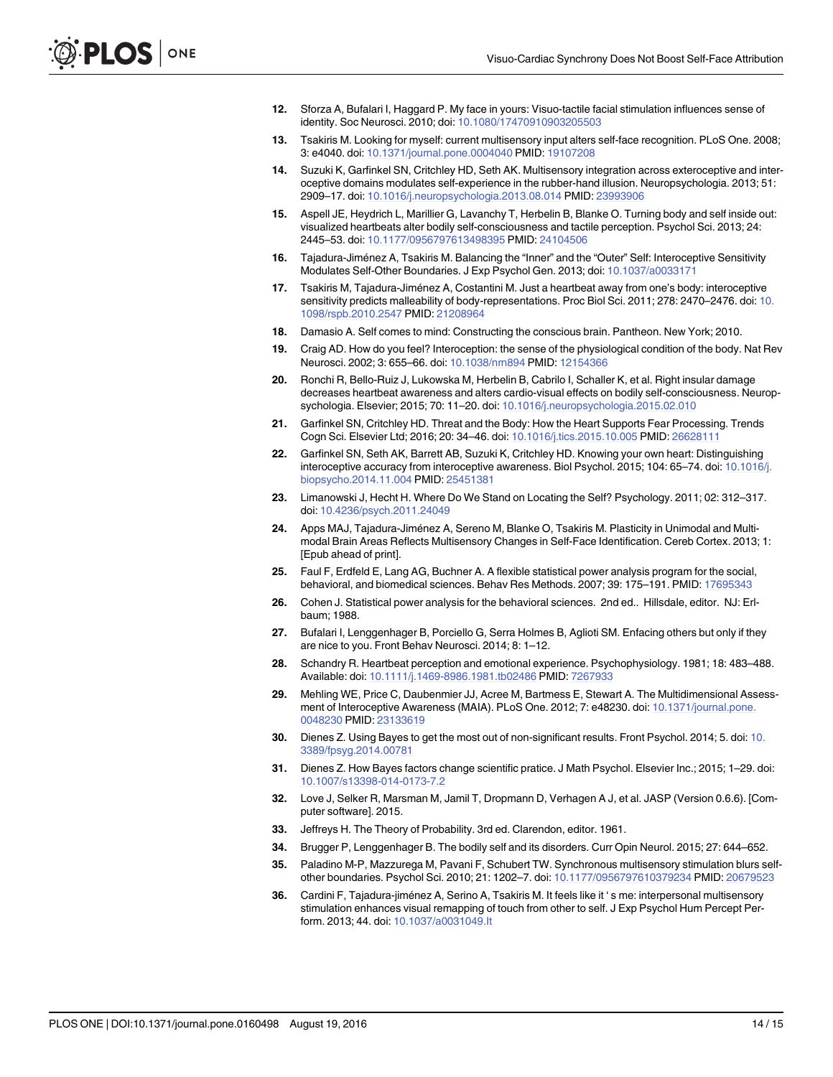- <span id="page-13-0"></span>[12.](#page-1-0) Sforza A, Bufalari I, Haggard P. My face in yours: Visuo-tactile facial stimulation influences sense of identity. Soc Neurosci. 2010; doi: [10.1080/17470910903205503](http://dx.doi.org/10.1080/17470910903205503)
- [13.](#page-1-0) Tsakiris M. Looking for myself: current multisensory input alters self-face recognition. PLoS One. 2008; 3: e4040. doi: [10.1371/journal.pone.0004040](http://dx.doi.org/10.1371/journal.pone.0004040) PMID: [19107208](http://www.ncbi.nlm.nih.gov/pubmed/19107208)
- [14.](#page-1-0) Suzuki K, Garfinkel SN, Critchley HD, Seth AK. Multisensory integration across exteroceptive and interoceptive domains modulates self-experience in the rubber-hand illusion. Neuropsychologia. 2013; 51: 2909–17. doi: [10.1016/j.neuropsychologia.2013.08.014](http://dx.doi.org/10.1016/j.neuropsychologia.2013.08.014) PMID: [23993906](http://www.ncbi.nlm.nih.gov/pubmed/23993906)
- [15.](#page-1-0) Aspell JE, Heydrich L, Marillier G, Lavanchy T, Herbelin B, Blanke O. Turning body and self inside out: visualized heartbeats alter bodily self-consciousness and tactile perception. Psychol Sci. 2013; 24: 2445–53. doi: [10.1177/0956797613498395](http://dx.doi.org/10.1177/0956797613498395) PMID: [24104506](http://www.ncbi.nlm.nih.gov/pubmed/24104506)
- [16.](#page-1-0) Tajadura-Jiménez A, Tsakiris M. Balancing the "Inner" and the "Outer" Self: Interoceptive Sensitivity Modulates Self-Other Boundaries. J Exp Psychol Gen. 2013; doi: [10.1037/a0033171](http://dx.doi.org/10.1037/a0033171)
- [17.](#page-1-0) Tsakiris M, Tajadura-Jiménez A, Costantini M. Just a heartbeat away from one's body: interoceptive sensitivity predicts malleability of body-representations. Proc Biol Sci. 2011; 278: 2470–2476. doi: [10.](http://dx.doi.org/10.1098/rspb.2010.2547) [1098/rspb.2010.2547](http://dx.doi.org/10.1098/rspb.2010.2547) PMID: [21208964](http://www.ncbi.nlm.nih.gov/pubmed/21208964)
- [18.](#page-1-0) Damasio A. Self comes to mind: Constructing the conscious brain. Pantheon. New York; 2010.
- [19.](#page-1-0) Craig AD. How do you feel? Interoception: the sense of the physiological condition of the body. Nat Rev Neurosci. 2002; 3: 655–66. doi: [10.1038/nrn894](http://dx.doi.org/10.1038/nrn894) PMID: [12154366](http://www.ncbi.nlm.nih.gov/pubmed/12154366)
- [20.](#page-1-0) Ronchi R, Bello-Ruiz J, Lukowska M, Herbelin B, Cabrilo I, Schaller K, et al. Right insular damage decreases heartbeat awareness and alters cardio-visual effects on bodily self-consciousness. Neuropsychologia. Elsevier; 2015; 70: 11–20. doi: [10.1016/j.neuropsychologia.2015.02.010](http://dx.doi.org/10.1016/j.neuropsychologia.2015.02.010)
- [21.](#page-1-0) Garfinkel SN, Critchley HD. Threat and the Body: How the Heart Supports Fear Processing. Trends Cogn Sci. Elsevier Ltd; 2016; 20: 34–46. doi: [10.1016/j.tics.2015.10.005](http://dx.doi.org/10.1016/j.tics.2015.10.005) PMID: [26628111](http://www.ncbi.nlm.nih.gov/pubmed/26628111)
- [22.](#page-2-0) Garfinkel SN, Seth AK, Barrett AB, Suzuki K, Critchley HD. Knowing your own heart: Distinguishing interoceptive accuracy from interoceptive awareness. Biol Psychol. 2015; 104: 65-74. doi: [10.1016/j.](http://dx.doi.org/10.1016/j.biopsycho.2014.11.004) [biopsycho.2014.11.004](http://dx.doi.org/10.1016/j.biopsycho.2014.11.004) PMID: [25451381](http://www.ncbi.nlm.nih.gov/pubmed/25451381)
- [23.](#page-2-0) Limanowski J, Hecht H. Where Do We Stand on Locating the Self? Psychology. 2011; 02: 312–317. doi: [10.4236/psych.2011.24049](http://dx.doi.org/10.4236/psych.2011.24049)
- [24.](#page-2-0) Apps MAJ, Tajadura-Jiménez A, Sereno M, Blanke O, Tsakiris M. Plasticity in Unimodal and Multimodal Brain Areas Reflects Multisensory Changes in Self-Face Identification. Cereb Cortex. 2013; 1: [Epub ahead of print].
- [25.](#page-2-0) Faul F, Erdfeld E, Lang AG, Buchner A. A flexible statistical power analysis program for the social, behavioral, and biomedical sciences. Behav Res Methods. 2007; 39: 175–191. PMID: [17695343](http://www.ncbi.nlm.nih.gov/pubmed/17695343)
- [26.](#page-2-0) Cohen J. Statistical power analysis for the behavioral sciences. 2nd ed.. Hillsdale, editor. NJ: Erlbaum; 1988.
- [27.](#page-3-0) Bufalari I, Lenggenhager B, Porciello G, Serra Holmes B, Aglioti SM. Enfacing others but only if they are nice to you. Front Behav Neurosci. 2014; 8: 1–12.
- [28.](#page-3-0) Schandry R. Heartbeat perception and emotional experience. Psychophysiology. 1981; 18: 483–488. Available: doi: [10.1111/j.1469-8986.1981.tb02486](http://dx.doi.org/10.1111/j.1469-8986.1981.tb02486) PMID: [7267933](http://www.ncbi.nlm.nih.gov/pubmed/7267933)
- [29.](#page-4-0) Mehling WE, Price C, Daubenmier JJ, Acree M, Bartmess E, Stewart A. The Multidimensional Assessment of Interoceptive Awareness (MAIA). PLoS One. 2012; 7: e48230. doi: [10.1371/journal.pone.](http://dx.doi.org/10.1371/journal.pone.0048230) [0048230](http://dx.doi.org/10.1371/journal.pone.0048230) PMID: [23133619](http://www.ncbi.nlm.nih.gov/pubmed/23133619)
- [30.](#page-5-0) Dienes Z. Using Bayes to get the most out of non-significant results. Front Psychol. 2014; 5. doi: [10.](http://dx.doi.org/10.3389/fpsyg.2014.00781) [3389/fpsyg.2014.00781](http://dx.doi.org/10.3389/fpsyg.2014.00781)
- [31.](#page-5-0) Dienes Z. How Bayes factors change scientific pratice. J Math Psychol. Elsevier Inc.; 2015; 1–29. doi: [10.1007/s13398-014-0173-7.2](http://dx.doi.org/10.1007/s13398-014-0173-7.2)
- [32.](#page-5-0) Love J, Selker R, Marsman M, Jamil T, Dropmann D, Verhagen A J, et al. JASP (Version 0.6.6). [Computer software]. 2015.
- [33.](#page-9-0) Jeffreys H. The Theory of Probability. 3rd ed. Clarendon, editor. 1961.
- [34.](#page-10-0) Brugger P, Lenggenhager B. The bodily self and its disorders. Curr Opin Neurol. 2015; 27: 644–652.
- [35.](#page-10-0) Paladino M-P, Mazzurega M, Pavani F, Schubert TW. Synchronous multisensory stimulation blurs selfother boundaries. Psychol Sci. 2010; 21: 1202–7. doi: [10.1177/0956797610379234](http://dx.doi.org/10.1177/0956797610379234) PMID: [20679523](http://www.ncbi.nlm.nih.gov/pubmed/20679523)
- [36.](#page-10-0) Cardini F, Tajadura-jiménez A, Serino A, Tsakiris M. It feels like it ' s me: interpersonal multisensory stimulation enhances visual remapping of touch from other to self. J Exp Psychol Hum Percept Perform. 2013; 44. doi: [10.1037/a0031049.It](http://dx.doi.org/10.1037/a0031049.It)